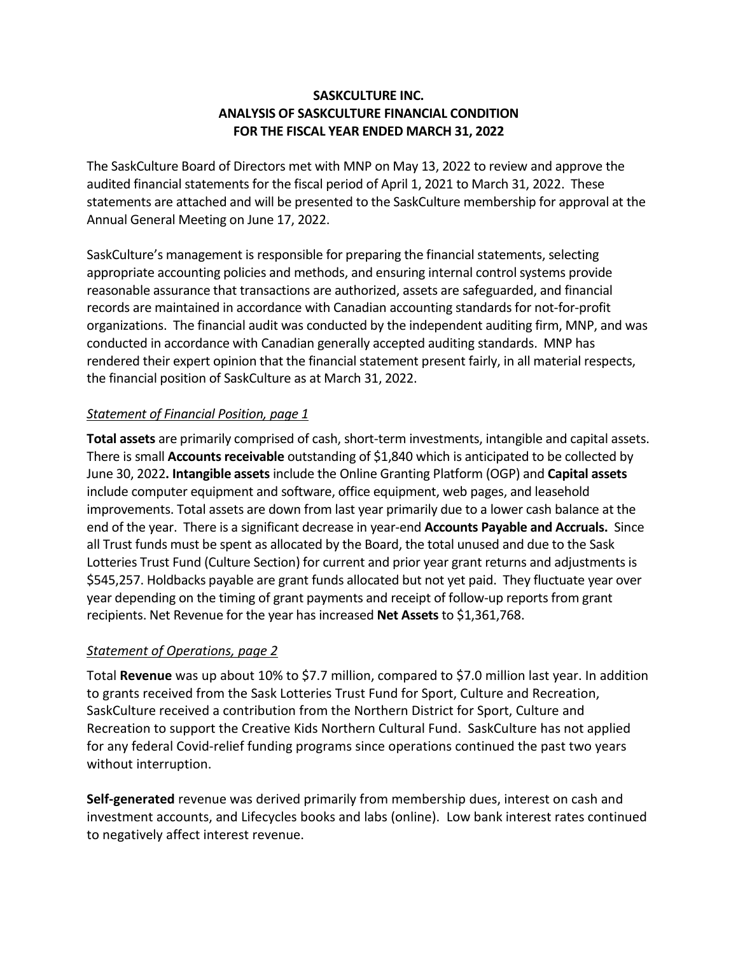#### **SASKCULTURE INC. ANALYSIS OF SASKCULTURE FINANCIAL CONDITION FOR THE FISCAL YEAR ENDED MARCH 31, 2022**

The SaskCulture Board of Directors met with MNP on May 13, 2022 to review and approve the audited financial statements for the fiscal period of April 1, 2021 to March 31, 2022. These statements are attached and will be presented to the SaskCulture membership for approval at the Annual General Meeting on June 17, 2022.

SaskCulture's management is responsible for preparing the financial statements, selecting appropriate accounting policies and methods, and ensuring internal control systems provide reasonable assurance that transactions are authorized, assets are safeguarded, and financial records are maintained in accordance with Canadian accounting standards for not-for-profit organizations. The financial audit was conducted by the independent auditing firm, MNP, and was conducted in accordance with Canadian generally accepted auditing standards. MNP has rendered their expert opinion that the financial statement present fairly, in all material respects, the financial position of SaskCulture as at March 31, 2022.

#### *Statement of Financial Position, page 1*

**Total assets** are primarily comprised of cash, short-term investments, intangible and capital assets. There is small **Accounts receivable** outstanding of \$1,840 which is anticipated to be collected by June 30, 2022**. Intangible assets** include the Online Granting Platform (OGP) and **Capital assets**  include computer equipment and software, office equipment, web pages, and leasehold improvements. Total assets are down from last year primarily due to a lower cash balance at the end of the year. There is a significant decrease in year-end **Accounts Payable and Accruals.** Since all Trust funds must be spent as allocated by the Board, the total unused and due to the Sask Lotteries Trust Fund (Culture Section) for current and prior year grant returns and adjustments is \$545,257. Holdbacks payable are grant funds allocated but not yet paid. They fluctuate year over year depending on the timing of grant payments and receipt of follow-up reports from grant recipients. Net Revenue for the year has increased **Net Assets** to \$1,361,768.

#### *Statement of Operations, page 2*

Total **Revenue** was up about 10% to \$7.7 million, compared to \$7.0 million last year. In addition to grants received from the Sask Lotteries Trust Fund for Sport, Culture and Recreation, SaskCulture received a contribution from the Northern District for Sport, Culture and Recreation to support the Creative Kids Northern Cultural Fund. SaskCulture has not applied for any federal Covid-relief funding programs since operations continued the past two years without interruption.

**Self-generated** revenue was derived primarily from membership dues, interest on cash and investment accounts, and Lifecycles books and labs (online). Low bank interest rates continued to negatively affect interest revenue.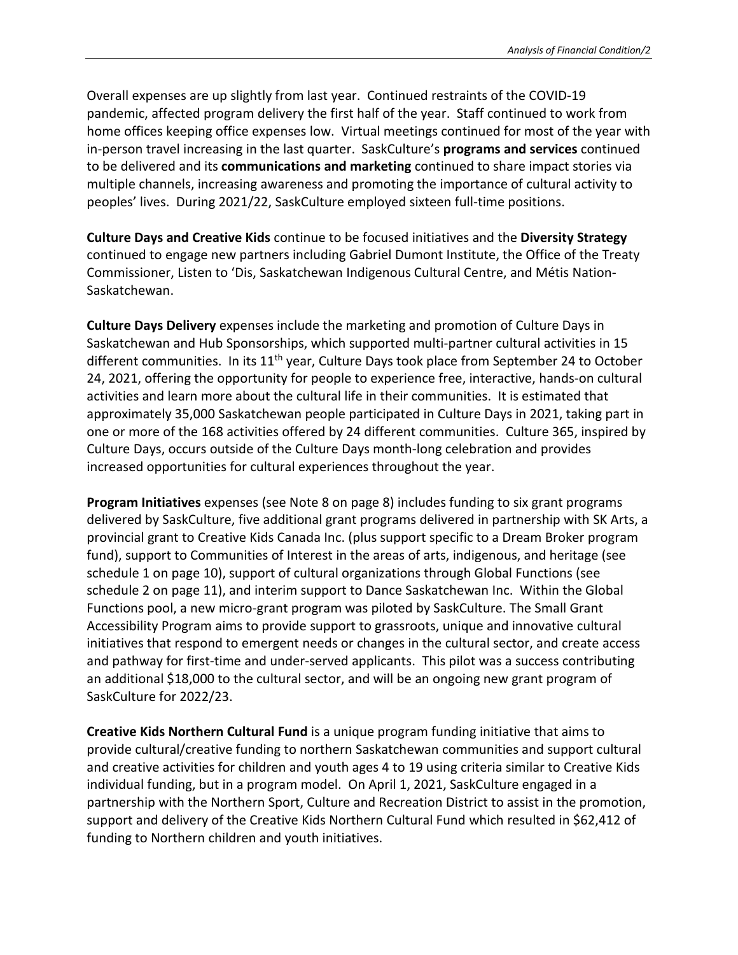Overall expenses are up slightly from last year. Continued restraints of the COVID-19 pandemic, affected program delivery the first half of the year.Staff continued to work from home offices keeping office expenses low. Virtual meetings continued for most of the year with in-person travel increasing in the last quarter. SaskCulture's **programs and services** continued to be delivered and its **communications and marketing** continued to share impact stories via multiple channels, increasing awareness and promoting the importance of cultural activity to peoples' lives. During 2021/22, SaskCulture employed sixteen full-time positions.

**Culture Days and Creative Kids** continue to be focused initiatives and the **Diversity Strategy**  continued to engage new partners including Gabriel Dumont Institute, the Office of the Treaty Commissioner, Listen to 'Dis, Saskatchewan Indigenous Cultural Centre, and Métis Nation-Saskatchewan.

**Culture Days Delivery** expenses include the marketing and promotion of Culture Days in Saskatchewan and Hub Sponsorships, which supported multi-partner cultural activities in 15 different communities. In its 11<sup>th</sup> year, Culture Days took place from September 24 to October 24, 2021, offering the opportunity for people to experience free, interactive, hands-on cultural activities and learn more about the cultural life in their communities. It is estimated that approximately 35,000 Saskatchewan people participated in Culture Days in 2021, taking part in one or more of the 168 activities offered by 24 different communities. Culture 365, inspired by Culture Days, occurs outside of the Culture Days month-long celebration and provides increased opportunities for cultural experiences throughout the year.

**Program Initiatives** expenses (see Note 8 on page 8) includes funding to six grant programs delivered by SaskCulture, five additional grant programs delivered in partnership with SK Arts, a provincial grant to Creative Kids Canada Inc. (plus support specific to a Dream Broker program fund), support to Communities of Interest in the areas of arts, indigenous, and heritage (see schedule 1 on page 10), support of cultural organizations through Global Functions (see schedule 2 on page 11), and interim support to Dance Saskatchewan Inc. Within the Global Functions pool, a new micro-grant program was piloted by SaskCulture. The Small Grant Accessibility Program aims to provide support to grassroots, unique and innovative cultural initiatives that respond to emergent needs or changes in the cultural sector, and create access and pathway for first-time and under-served applicants. This pilot was a success contributing an additional \$18,000 to the cultural sector, and will be an ongoing new grant program of SaskCulture for 2022/23.

**Creative Kids Northern Cultural Fund** is a unique program funding initiative that aims to provide cultural/creative funding to northern Saskatchewan communities and support cultural and creative activities for children and youth ages 4 to 19 using criteria similar to Creative Kids individual funding, but in a program model. On April 1, 2021, SaskCulture engaged in a partnership with the Northern Sport, Culture and Recreation District to assist in the promotion, support and delivery of the Creative Kids Northern Cultural Fund which resulted in \$62,412 of funding to Northern children and youth initiatives.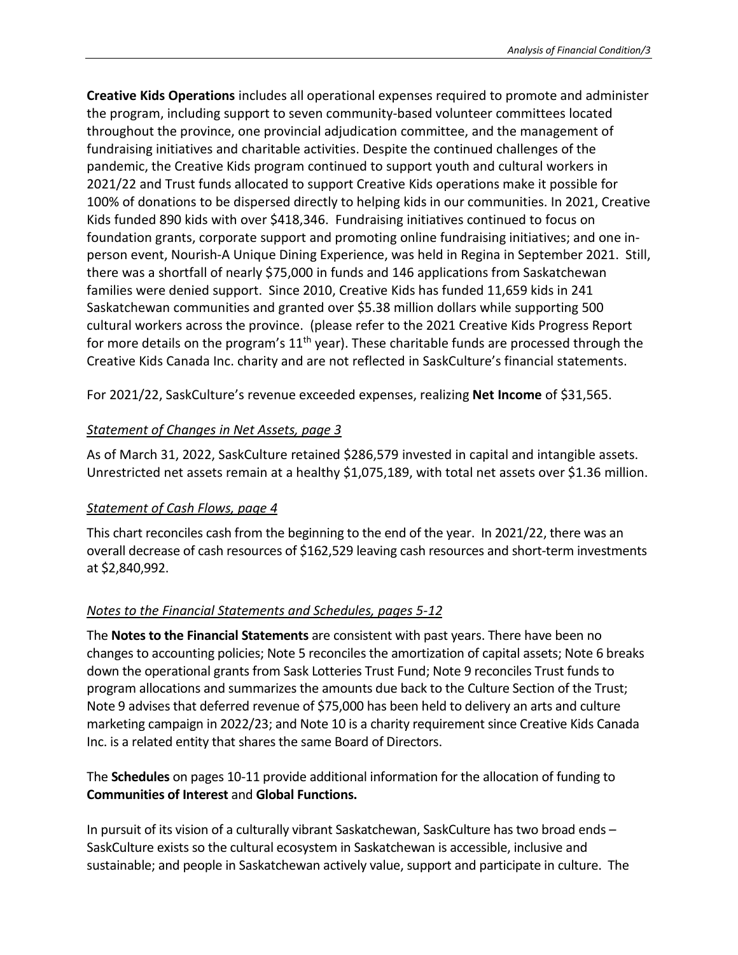**Creative Kids Operations** includes all operational expenses required to promote and administer the program, including support to seven community-based volunteer committees located throughout the province, one provincial adjudication committee, and the management of fundraising initiatives and charitable activities. Despite the continued challenges of the pandemic, the Creative Kids program continued to support youth and cultural workers in 2021/22 and Trust funds allocated to support Creative Kids operations make it possible for 100% of donations to be dispersed directly to helping kids in our communities. In 2021, Creative Kids funded 890 kids with over \$418,346. Fundraising initiatives continued to focus on foundation grants, corporate support and promoting online fundraising initiatives; and one inperson event, Nourish-A Unique Dining Experience, was held in Regina in September 2021. Still, there was a shortfall of nearly \$75,000 in funds and 146 applications from Saskatchewan families were denied support. Since 2010, Creative Kids has funded 11,659 kids in 241 Saskatchewan communities and granted over \$5.38 million dollars while supporting 500 cultural workers across the province. (please refer to the 2021 Creative Kids Progress Report for more details on the program's  $11<sup>th</sup>$  year). These charitable funds are processed through the Creative Kids Canada Inc. charity and are not reflected in SaskCulture's financial statements.

For 2021/22, SaskCulture's revenue exceeded expenses, realizing **Net Income** of \$31,565.

## *Statement of Changes in Net Assets, page 3*

As of March 31, 2022, SaskCulture retained \$286,579 invested in capital and intangible assets. Unrestricted net assets remain at a healthy \$1,075,189, with total net assets over \$1.36 million.

## *Statement of Cash Flows, page 4*

This chart reconciles cash from the beginning to the end of the year. In 2021/22, there was an overall decrease of cash resources of \$162,529 leaving cash resources and short-term investments at \$2,840,992.

# *Notes to the Financial Statements and Schedules, pages 5-12*

The **Notes to the Financial Statements** are consistent with past years. There have been no changes to accounting policies; Note 5 reconciles the amortization of capital assets; Note 6 breaks down the operational grants from Sask Lotteries Trust Fund; Note 9 reconciles Trust funds to program allocations and summarizes the amounts due back to the Culture Section of the Trust; Note 9 advises that deferred revenue of \$75,000 has been held to delivery an arts and culture marketing campaign in 2022/23; and Note 10 is a charity requirement since Creative Kids Canada Inc. is a related entity that shares the same Board of Directors.

## The **Schedules** on pages 10-11 provide additional information for the allocation of funding to **Communities of Interest** and **Global Functions.**

In pursuit of its vision of a culturally vibrant Saskatchewan, SaskCulture has two broad ends – SaskCulture exists so the cultural ecosystem in Saskatchewan is accessible, inclusive and sustainable; and people in Saskatchewan actively value, support and participate in culture. The